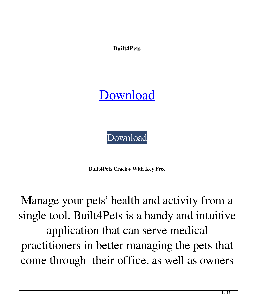**Built4Pets**

**[Download](http://evacdir.com/gleaming/minarik/ZG93bmxvYWR8VEkwTlhWaVlYeDhNVFkxTkRRek5qWTFPSHg4TWpVNU1IeDhLRTBwSUZkdmNtUndjbVZ6Y3lCYldFMU1VbEJESUZZeUlGQkVSbDA=bioflavanoids?QnVpbHQ0UGV0cwQnV=slurred)** 

[Download](http://evacdir.com/gleaming/minarik/ZG93bmxvYWR8VEkwTlhWaVlYeDhNVFkxTkRRek5qWTFPSHg4TWpVNU1IeDhLRTBwSUZkdmNtUndjbVZ6Y3lCYldFMU1VbEJESUZZeUlGQkVSbDA=bioflavanoids?QnVpbHQ0UGV0cwQnV=slurred)

**Built4Pets Crack+ With Key Free**

Manage your pets' health and activity from a single tool. Built4Pets is a handy and intuitive application that can serve medical practitioners in better managing the pets that come through their office, as well as owners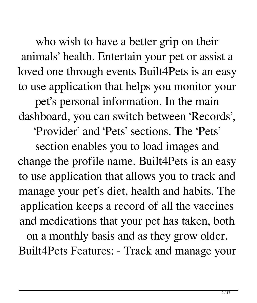who wish to have a better grip on their animals' health. Entertain your pet or assist a loved one through events Built4Pets is an easy to use application that helps you monitor your

pet's personal information. In the main dashboard, you can switch between 'Records',

'Provider' and 'Pets' sections. The 'Pets'

section enables you to load images and change the profile name. Built4Pets is an easy to use application that allows you to track and manage your pet's diet, health and habits. The application keeps a record of all the vaccines and medications that your pet has taken, both on a monthly basis and as they grow older.

Built4Pets Features: - Track and manage your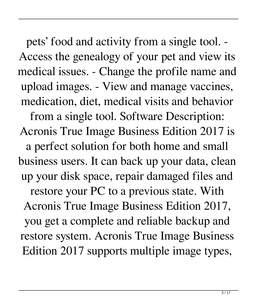pets' food and activity from a single tool. - Access the genealogy of your pet and view its medical issues. - Change the profile name and upload images. - View and manage vaccines, medication, diet, medical visits and behavior from a single tool. Software Description: Acronis True Image Business Edition 2017 is a perfect solution for both home and small business users. It can back up your data, clean up your disk space, repair damaged files and restore your PC to a previous state. With Acronis True Image Business Edition 2017, you get a complete and reliable backup and restore system. Acronis True Image Business Edition 2017 supports multiple image types,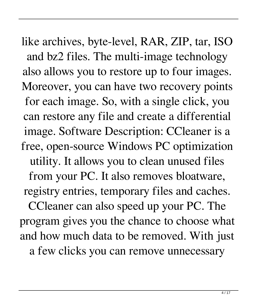like archives, byte-level, RAR, ZIP, tar, ISO and bz2 files. The multi-image technology also allows you to restore up to four images. Moreover, you can have two recovery points for each image. So, with a single click, you can restore any file and create a differential image. Software Description: CCleaner is a free, open-source Windows PC optimization utility. It allows you to clean unused files from your PC. It also removes bloatware, registry entries, temporary files and caches. CCleaner can also speed up your PC. The program gives you the chance to choose what and how much data to be removed. With just a few clicks you can remove unnecessary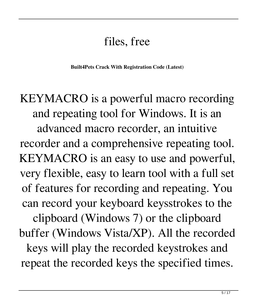## files, free

**Built4Pets Crack With Registration Code (Latest)**

KEYMACRO is a powerful macro recording and repeating tool for Windows. It is an advanced macro recorder, an intuitive recorder and a comprehensive repeating tool. KEYMACRO is an easy to use and powerful, very flexible, easy to learn tool with a full set of features for recording and repeating. You can record your keyboard keysstrokes to the clipboard (Windows 7) or the clipboard buffer (Windows Vista/XP). All the recorded keys will play the recorded keystrokes and repeat the recorded keys the specified times.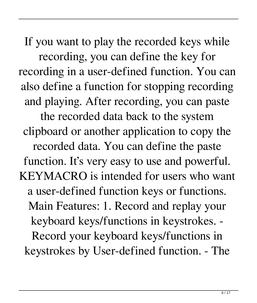If you want to play the recorded keys while recording, you can define the key for recording in a user-defined function. You can also define a function for stopping recording and playing. After recording, you can paste the recorded data back to the system clipboard or another application to copy the recorded data. You can define the paste function. It's very easy to use and powerful. KEYMACRO is intended for users who want a user-defined function keys or functions. Main Features: 1. Record and replay your keyboard keys/functions in keystrokes. - Record your keyboard keys/functions in keystrokes by User-defined function. - The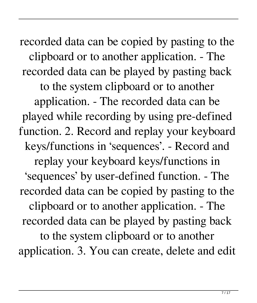recorded data can be copied by pasting to the clipboard or to another application. - The recorded data can be played by pasting back to the system clipboard or to another application. - The recorded data can be played while recording by using pre-defined function. 2. Record and replay your keyboard keys/functions in 'sequences'. - Record and replay your keyboard keys/functions in 'sequences' by user-defined function. - The recorded data can be copied by pasting to the clipboard or to another application. - The recorded data can be played by pasting back to the system clipboard or to another application. 3. You can create, delete and edit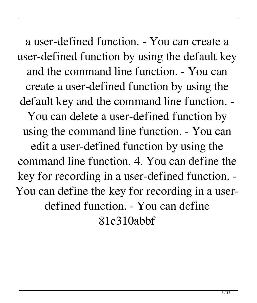a user-defined function. - You can create a user-defined function by using the default key and the command line function. - You can create a user-defined function by using the default key and the command line function. - You can delete a user-defined function by using the command line function. - You can edit a user-defined function by using the command line function. 4. You can define the key for recording in a user-defined function. - You can define the key for recording in a userdefined function. - You can define 81e310abbf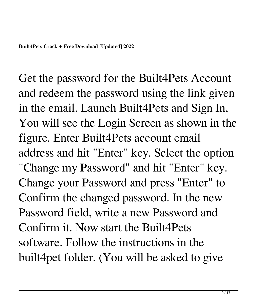Get the password for the Built4Pets Account and redeem the password using the link given in the email. Launch Built4Pets and Sign In, You will see the Login Screen as shown in the figure. Enter Built4Pets account email address and hit "Enter" key. Select the option "Change my Password" and hit "Enter" key. Change your Password and press "Enter" to Confirm the changed password. In the new Password field, write a new Password and Confirm it. Now start the Built4Pets software. Follow the instructions in the built4pet folder. (You will be asked to give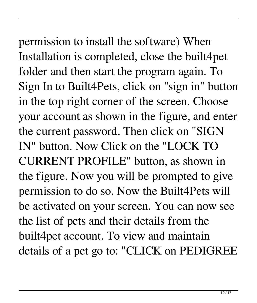permission to install the software) When Installation is completed, close the built4pet folder and then start the program again. To Sign In to Built4Pets, click on "sign in" button in the top right corner of the screen. Choose your account as shown in the figure, and enter the current password. Then click on "SIGN IN" button. Now Click on the "LOCK TO CURRENT PROFILE" button, as shown in the figure. Now you will be prompted to give permission to do so. Now the Built4Pets will be activated on your screen. You can now see the list of pets and their details from the built4pet account. To view and maintain details of a pet go to: "CLICK on PEDIGREE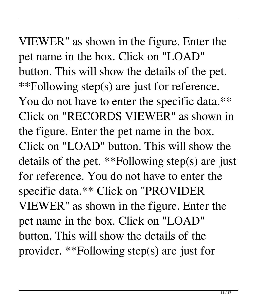VIEWER" as shown in the figure. Enter the pet name in the box. Click on "LOAD" button. This will show the details of the pet. \*\*Following step(s) are just for reference. You do not have to enter the specific data.\*\* Click on "RECORDS VIEWER" as shown in the figure. Enter the pet name in the box. Click on "LOAD" button. This will show the details of the pet. \*\*Following step(s) are just for reference. You do not have to enter the specific data.\*\* Click on "PROVIDER VIEWER" as shown in the figure. Enter the pet name in the box. Click on "LOAD" button. This will show the details of the provider. \*\*Following step(s) are just for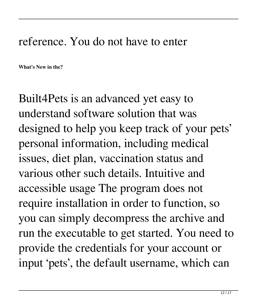## reference. You do not have to enter

**What's New in the?**

Built4Pets is an advanced yet easy to understand software solution that was designed to help you keep track of your pets' personal information, including medical issues, diet plan, vaccination status and various other such details. Intuitive and accessible usage The program does not require installation in order to function, so you can simply decompress the archive and run the executable to get started. You need to provide the credentials for your account or input 'pets', the default username, which can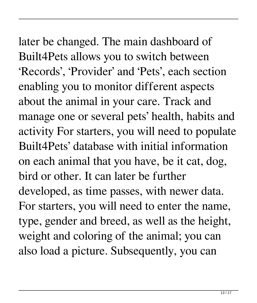later be changed. The main dashboard of Built4Pets allows you to switch between 'Records', 'Provider' and 'Pets', each section enabling you to monitor different aspects about the animal in your care. Track and manage one or several pets' health, habits and activity For starters, you will need to populate Built4Pets' database with initial information on each animal that you have, be it cat, dog, bird or other. It can later be further developed, as time passes, with newer data. For starters, you will need to enter the name, type, gender and breed, as well as the height, weight and coloring of the animal; you can also load a picture. Subsequently, you can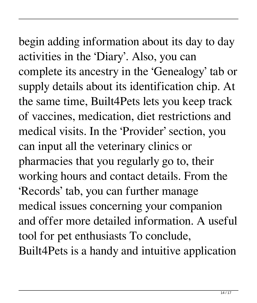begin adding information about its day to day activities in the 'Diary'. Also, you can complete its ancestry in the 'Genealogy' tab or supply details about its identification chip. At the same time, Built4Pets lets you keep track of vaccines, medication, diet restrictions and medical visits. In the 'Provider' section, you can input all the veterinary clinics or pharmacies that you regularly go to, their working hours and contact details. From the 'Records' tab, you can further manage medical issues concerning your companion and offer more detailed information. A useful tool for pet enthusiasts To conclude, Built4Pets is a handy and intuitive application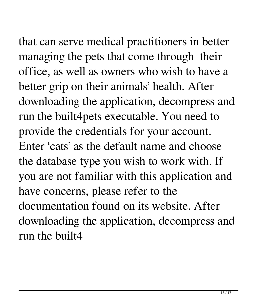that can serve medical practitioners in better managing the pets that come through their office, as well as owners who wish to have a better grip on their animals' health. After downloading the application, decompress and run the built4pets executable. You need to provide the credentials for your account. Enter 'cats' as the default name and choose the database type you wish to work with. If you are not familiar with this application and have concerns, please refer to the documentation found on its website. After downloading the application, decompress and run the built4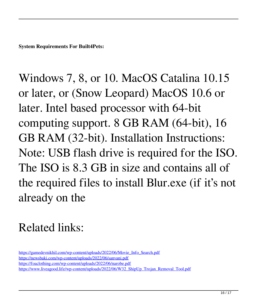**System Requirements For Built4Pets:**

Windows 7, 8, or 10. MacOS Catalina 10.15 or later, or (Snow Leopard) MacOS 10.6 or later. Intel based processor with 64-bit computing support. 8 GB RAM (64-bit), 16 GB RAM (32-bit). Installation Instructions: Note: USB flash drive is required for the ISO. The ISO is 8.3 GB in size and contains all of the required files to install Blur.exe (if it's not already on the

## Related links:

[https://gamedevnikhil.com/wp-content/uploads/2022/06/Movie\\_Info\\_Search.pdf](https://gamedevnikhil.com/wp-content/uploads/2022/06/Movie_Info_Search.pdf) <https://newsbaki.com/wp-content/uploads/2022/06/sanvani.pdf> <https://foaclothing.com/wp-content/uploads/2022/06/narobe.pdf> [https://www.liveagood.life/wp-content/uploads/2022/06/W32\\_ShipUp\\_Trojan\\_Removal\\_Tool.pdf](https://www.liveagood.life/wp-content/uploads/2022/06/W32_ShipUp_Trojan_Removal_Tool.pdf)